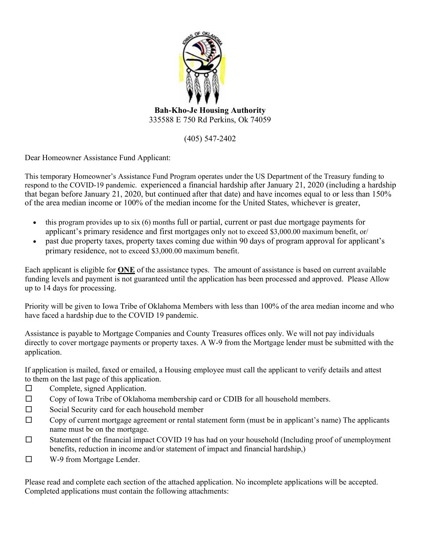

335588 E 750 Rd Perkins, Ok 74059

(405) 547-2402

Dear Homeowner Assistance Fund Applicant:

This temporary Homeowner's Assistance Fund Program operates under the US Department of the Treasury funding to respond to the COVID-19 pandemic. experienced a financial hardship after January 21, 2020 (including a hardship that began before January 21, 2020, but continued after that date) and have incomes equal to or less than 150% of the area median income or 100% of the median income for the United States, whichever is greater,

- this program provides up to six (6) months full or partial, current or past due mortgage payments for applicant's primary residence and first mortgages only not to exceed \$3,000.00 maximum benefit, or/
- past due property taxes, property taxes coming due within 90 days of program approval for applicant's primary residence, not to exceed \$3,000.00 maximum benefit.

Each applicant is eligible for **ONE** of the assistance types. The amount of assistance is based on current available funding levels and payment is not guaranteed until the application has been processed and approved. Please Allow up to 14 days for processing.

Priority will be given to Iowa Tribe of Oklahoma Members with less than 100% of the area median income and who have faced a hardship due to the COVID 19 pandemic.

Assistance is payable to Mortgage Companies and County Treasures offices only. We will not pay individuals directly to cover mortgage payments or property taxes. A W-9 from the Mortgage lender must be submitted with the application.

If application is mailed, faxed or emailed, a Housing employee must call the applicant to verify details and attest to them on the last page of this application.

- $\Box$  Complete, signed Application.
- $\Box$  Copy of Iowa Tribe of Oklahoma membership card or CDIB for all household members.
- □ Social Security card for each household member
- □ Copy of current mortgage agreement or rental statement form (must be in applicant's name) The applicants name must be on the mortgage.
- $\square$  Statement of the financial impact COVID 19 has had on your household (Including proof of unemployment benefits, reduction in income and/or statement of impact and financial hardship,)
- □ W-9 from Mortgage Lender.

Please read and complete each section of the attached application. No incomplete applications will be accepted. Completed applications must contain the following attachments: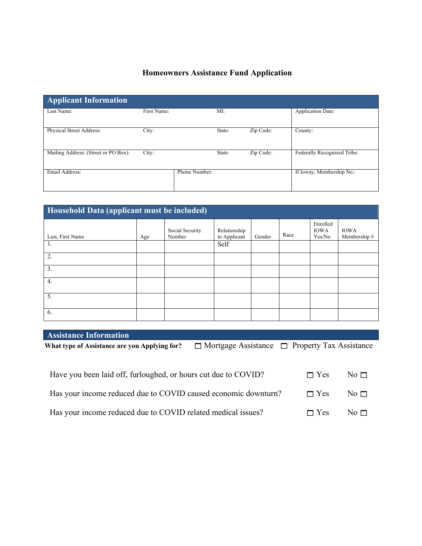## **Homeowners Assistance Fund Application**

| <b>Applicant Information</b>         |             |               |        |           |                             |
|--------------------------------------|-------------|---------------|--------|-----------|-----------------------------|
| Last Name:                           | First Name: |               | MI:    |           | <b>Application Date:</b>    |
| Physical Street Address:             | City:       |               | State: | Zip Code: | County:                     |
| Mailing Address: (Street or PO Box): | City:       |               | State: | Zip Code: | Federally Recognized Tribe: |
| Email Address:                       |             | Phone Number: |        |           | If Ioway, Membership No.:   |

| Household Data (applicant must be included) |     |                           |                              |        |      |                                   |                             |
|---------------------------------------------|-----|---------------------------|------------------------------|--------|------|-----------------------------------|-----------------------------|
| Last, First Name                            | Age | Social Security<br>Number | Relationship<br>to Applicant | Gender | Race | Enrolled<br><b>IOWA</b><br>Yes/No | <b>IOWA</b><br>Membership # |
| 1.                                          |     |                           | Self                         |        |      |                                   |                             |
| 2.                                          |     |                           |                              |        |      |                                   |                             |
| 3.                                          |     |                           |                              |        |      |                                   |                             |
| 4.                                          |     |                           |                              |        |      |                                   |                             |
| 5.                                          |     |                           |                              |        |      |                                   |                             |
| 6.                                          |     |                           |                              |        |      |                                   |                             |

| <b>Assistance Information</b>                                  |                                                           |            |           |
|----------------------------------------------------------------|-----------------------------------------------------------|------------|-----------|
| What type of Assistance are you Applying for?                  | $\Box$ Mortgage Assistance $\Box$ Property Tax Assistance |            |           |
|                                                                |                                                           |            |           |
|                                                                |                                                           |            |           |
| Have you been laid off, furloughed, or hours cut due to COVID? |                                                           | $\Box$ Yes | No $\Box$ |
|                                                                |                                                           |            |           |
| Has your income reduced due to COVID caused economic downturn? |                                                           | $\Box$ Yes | No $\Box$ |
|                                                                |                                                           |            |           |
| Has your income reduced due to COVID related medical issues?   |                                                           | $\Box$ Yes | No $\Box$ |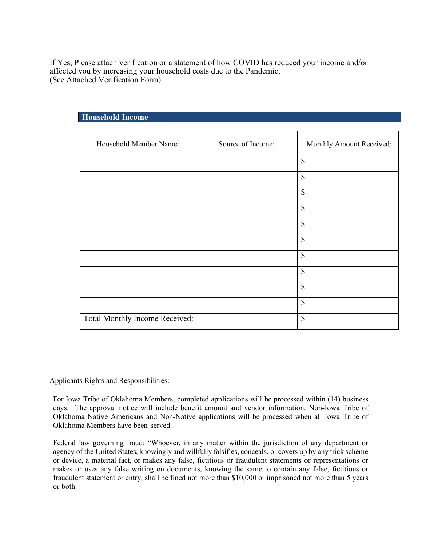If Yes, Please attach verification or a statement of how COVID has reduced your income and/or affected you by increasing your household costs due to the Pandemic. (See Attached Verification Form)

| Source of Income: | Monthly Amount Received:  |
|-------------------|---------------------------|
|                   | $\boldsymbol{\mathsf{S}}$ |
|                   | $\mathbb{S}$              |
|                   | $\mathbb{S}$              |
|                   | \$                        |
|                   | $\mathbb{S}$              |
|                   | $\mathcal{S}$             |
|                   | $\mathbb{S}$              |
|                   | $\boldsymbol{\mathsf{S}}$ |
|                   | \$                        |
|                   | \$                        |
|                   | \$                        |
|                   |                           |

## **Household Income**

Applicants Rights and Responsibilities:

For Iowa Tribe of Oklahoma Members, completed applications will be processed within (14) business days. The approval notice will include benefit amount and vendor information. Non-Iowa Tribe of Oklahoma Native Americans and Non-Native applications will be processed when all Iowa Tribe of Oklahoma Members have been served.

Federal law governing fraud: "Whoever, in any matter within the jurisdiction of any department or agency of the United States, knowingly and willfully falsifies, conceals, or covers up by any trick scheme or device, a material fact, or makes any false, fictitious or fraudulent statements or representations or makes or uses any false writing on documents, knowing the same to contain any false, fictitious or fraudulent statement or entry, shall be fined not more than \$10,000 or imprisoned not more than 5 years or both.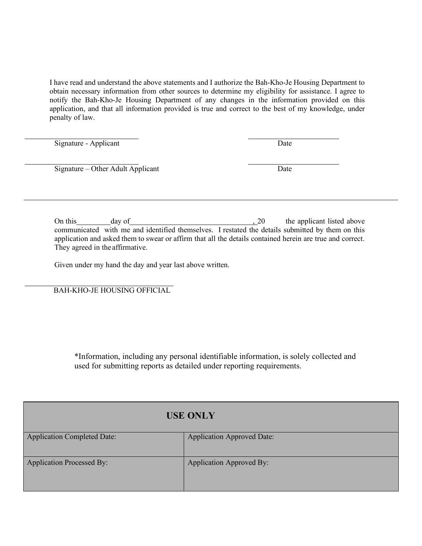I have read and understand the above statements and I authorize the Bah-Kho-Je Housing Department to obtain necessary information from other sources to determine my eligibility for assistance. I agree to notify the Bah-Kho-Je Housing Department of any changes in the information provided on this application, and that all information provided is true and correct to the best of my knowledge, under penalty of law.

Signature - Applicant Date

Signature – Other Adult Applicant Date

On this day of day  $\frac{1}{20}$  the applicant listed above communicated with me and identified themselves. I restated the details submitted by them on this application and asked them to swear or affirm that all the details contained herein are true and correct. They agreed in the affirmative.

Given under my hand the day and year last above written.

BAH-KHO-JE HOUSING OFFICIAL

\*Information, including any personal identifiable information, is solely collected and used for submitting reports as detailed under reporting requirements.

|                                    | <b>USE ONLY</b>                   |  |  |
|------------------------------------|-----------------------------------|--|--|
| <b>Application Completed Date:</b> | <b>Application Approved Date:</b> |  |  |
| <b>Application Processed By:</b>   | <b>Application Approved By:</b>   |  |  |